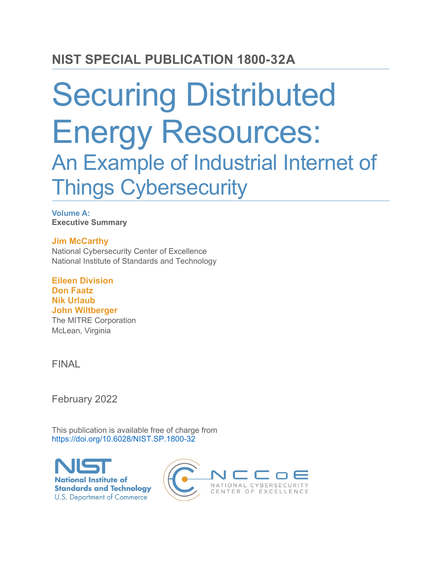# Securing Distributed Energy Resources: An Example of Industrial Internet of Things Cybersecurity

**Volume A: Executive Summary**

**Jim McCarthy** National Cybersecurity Center of Excellence National Institute of Standards and Technology

**Eileen Division Don Faatz Nik Urlaub John Wiltberger** The MITRE Corporation McLean, Virginia

FINAL

February 2022

This publication is available free of charge from <https://doi.org/10.6028/NIST.SP.1800-32>



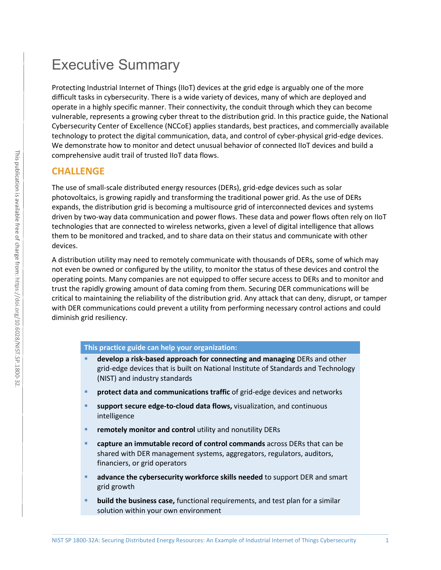# Executive Summary

Protecting Industrial Internet of Things (IIoT) devices at the grid edge is arguably one of the more difficult tasks in cybersecurity. There is a wide variety of devices, many of which are deployed and operate in a highly specific manner. Their connectivity, the conduit through which they can become vulnerable, represents a growing cyber threat to the distribution grid. In this practice guide, the National Cybersecurity Center of Excellence (NCCoE) applies standards, best practices, and commercially available technology to protect the digital communication, data, and control of cyber-physical grid-edge devices. We demonstrate how to monitor and detect unusual behavior of connected IIoT devices and build a comprehensive audit trail of trusted IIoT data flows.

# **CHALLENGE**

The use of small-scale distributed energy resources (DERs), grid-edge devices such as solar photovoltaics, is growing rapidly and transforming the traditional power grid. As the use of DERs expands, the distribution grid is becoming a multisource grid of interconnected devices and systems driven by two-way data communication and power flows. These data and power flows often rely on IIoT technologies that are connected to wireless networks, given a level of digital intelligence that allows them to be monitored and tracked, and to share data on their status and communicate with other devices.

A distribution utility may need to remotely communicate with thousands of DERs, some of which may not even be owned or configured by the utility, to monitor the status of these devices and control the operating points. Many companies are not equipped to offer secure access to DERs and to monitor and trust the rapidly growing amount of data coming from them. Securing DER communications will be critical to maintaining the reliability of the distribution grid. Any attack that can deny, disrupt, or tamper with DER communications could prevent a utility from performing necessary control actions and could diminish grid resiliency.

#### **This practice guide can help your organization:**

- **develop a risk-based approach for connecting and managing** DERs and other grid-edge devices that is built on National Institute of Standards and Technology (NIST) and industry standards
- **PEDECT data and communications traffic** of grid-edge devices and networks
- **support secure edge-to-cloud data flows,** visualization, and continuous intelligence
- **F** remotely monitor and control utility and nonutility DERs
- **capture an immutable record of control commands** across DERs that can be shared with DER management systems, aggregators, regulators, auditors, financiers, or grid operators
- **advance the cybersecurity workforce skills needed** to support DER and smart grid growth
- **build the business case,** functional requirements, and test plan for a similar solution within your own environment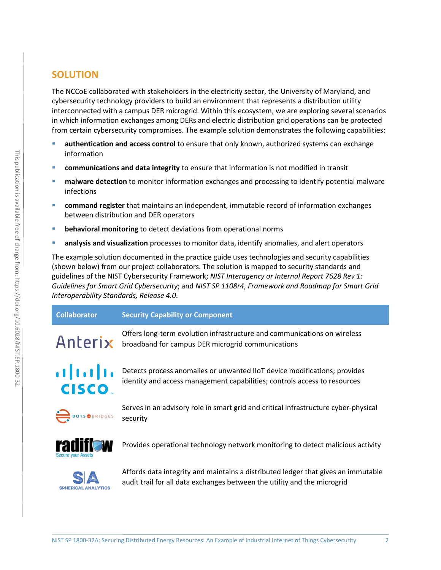# **SOLUTION**

The NCCoE collaborated with stakeholders in the electricity sector, the University of Maryland, and cybersecurity technology providers to build an environment that represents a distribution utility interconnected with a campus DER microgrid. Within this ecosystem, we are exploring several scenarios in which information exchanges among DERs and electric distribution grid operations can be protected from certain cybersecurity compromises. The example solution demonstrates the following capabilities:

- **authentication and access control** to ensure that only known, authorized systems can exchange information
- **communications and data integrity** to ensure that information is not modified in transit
- **nalware detection** to monitor information exchanges and processing to identify potential malware infections
- **command register** that maintains an independent, immutable record of information exchanges between distribution and DER operators
- **behavioral monitoring** to detect deviations from operational norms
- **analysis and visualization** processes to monitor data, identify anomalies, and alert operators

The example solution documented in the practice guide uses technologies and security capabilities (shown below) from our project collaborators. The solution is mapped to security standards and guidelines of the NIST Cybersecurity Framework; *NIST Interagency or Internal Report 7628 Rev 1: Guidelines for Smart Grid Cybersecurity*; and *NIST SP 1108r4*, *Framework and Roadmap for Smart Grid Interoperability Standards, Release 4.0*.

| <b>Collaborator</b> | Security Capability or Component                                         |
|---------------------|--------------------------------------------------------------------------|
|                     | Offers long-term evolution infrastructure and communications on wireless |

 $A \cap E \cap Y$  broadband for campus DER microgrid communications

# $\mathbf{d}$   $\mathbf{d}$   $\mathbf{d}$ **CISCO**

Detects process anomalies or unwanted IIoT device modifications; provides identity and access management capabilities; controls access to resources



Serves in an advisory role in smart grid and critical infrastructure cyber-physical security



Provides operational technology network monitoring to detect malicious activity



Affords data integrity and maintains a distributed ledger that gives an immutable audit trail for all data exchanges between the utility and the microgrid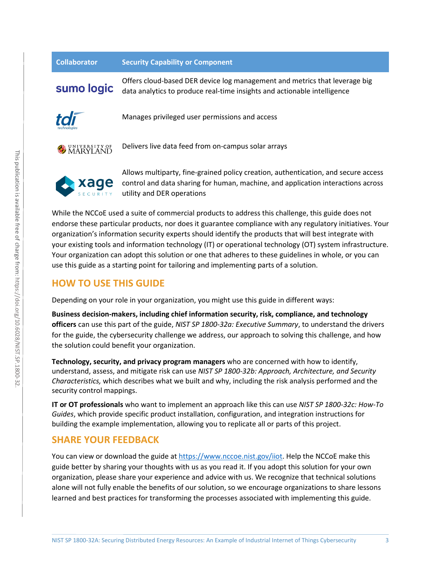| <b>Collaborator</b>     | <b>Security Capability or Component</b>                                                                                                                                |
|-------------------------|------------------------------------------------------------------------------------------------------------------------------------------------------------------------|
| sumo logic              | Offers cloud-based DER device log management and metrics that leverage big<br>data analytics to produce real-time insights and actionable intelligence                 |
| tdi                     | Manages privileged user permissions and access                                                                                                                         |
| <b>WE UNIVERSITY OF</b> | Delivers live data feed from on-campus solar arrays                                                                                                                    |
| xage                    | Allows multiparty, fine-grained policy creation, authentication, and secure access<br>control and data sharing for human, machine, and application interactions across |

SECURITY utility and DER operations While the NCCoE used a suite of commercial products to address this challenge, this guide does not endorse these particular products, nor does it guarantee compliance with any regulatory initiatives. Your organization's information security experts should identify the products that will best integrate with your existing tools and information technology (IT) or operational technology (OT) system infrastructure.

## **HOW TO USE THIS GUIDE**

xage

Depending on your role in your organization, you might use this guide in different ways:

use this guide as a starting point for tailoring and implementing parts of a solution.

**Business decision-makers, including chief information security, risk, compliance, and technology officers** can use this part of the guide, *NIST SP 1800-32a: Executive Summary*, to understand the drivers for the guide, the cybersecurity challenge we address, our approach to solving this challenge, and how the solution could benefit your organization.

Your organization can adopt this solution or one that adheres to these guidelines in whole, or you can

**Technology, security, and privacy program managers** who are concerned with how to identify, understand, assess, and mitigate risk can use *NIST SP 1800-32b: Approach, Architecture, and Security Characteristics,* which describes what we built and why, including the risk analysis performed and the security control mappings.

**IT or OT professionals** who want to implement an approach like this can use *NIST SP 1800-32c: How-To Guides*, which provide specific product installation, configuration, and integration instructions for building the example implementation, allowing you to replicate all or parts of this project.

## **SHARE YOUR FEEDBACK**

You can view or download the guide at [https://www.nccoe.nist.gov/iiot.](https://www.nccoe.nist.gov/iiot) Help the NCCoE make this guide better by sharing your thoughts with us as you read it. If you adopt this solution for your own organization, please share your experience and advice with us. We recognize that technical solutions alone will not fully enable the benefits of our solution, so we encourage organizations to share lessons learned and best practices for transforming the processes associated with implementing this guide.